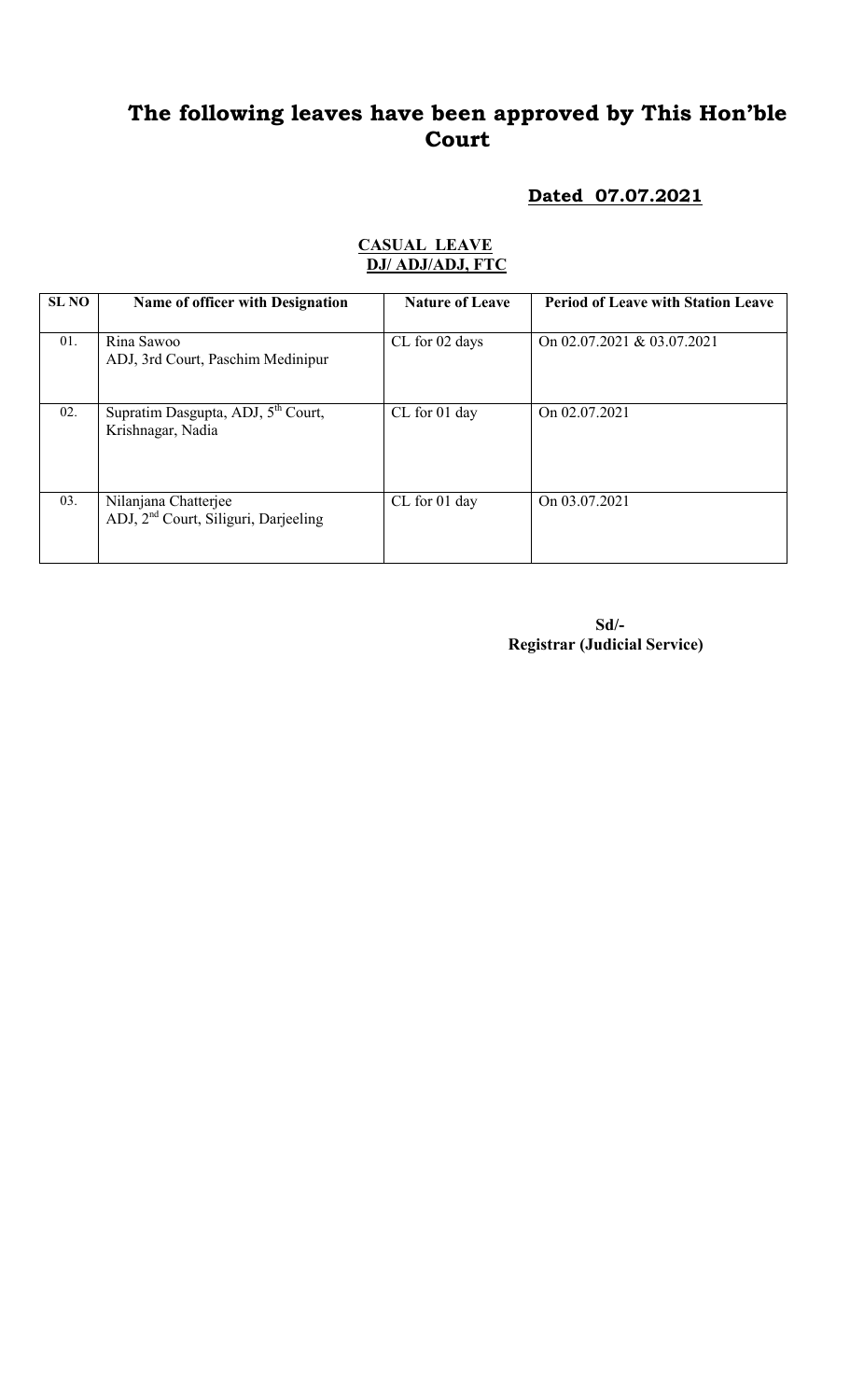## The following leaves have been approved by This Hon'ble Court

### Dated 07.07.2021

| SL NO | Name of officer with Designation                                         | <b>Nature of Leave</b> | <b>Period of Leave with Station Leave</b> |
|-------|--------------------------------------------------------------------------|------------------------|-------------------------------------------|
| 01.   | Rina Sawoo<br>ADJ, 3rd Court, Paschim Medinipur                          | CL for 02 days         | On 02.07.2021 & 03.07.2021                |
| 02.   | Supratim Dasgupta, ADJ, 5 <sup>th</sup> Court,<br>Krishnagar, Nadia      | CL for 01 day          | On 02.07.2021                             |
| 03.   | Nilanjana Chatterjee<br>ADJ, 2 <sup>nd</sup> Court, Siliguri, Darjeeling | CL for 01 day          | On 03.07.2021                             |

#### CASUAL LEAVE DJ/ ADJ/ADJ, FTC

 Sd/- Registrar (Judicial Service)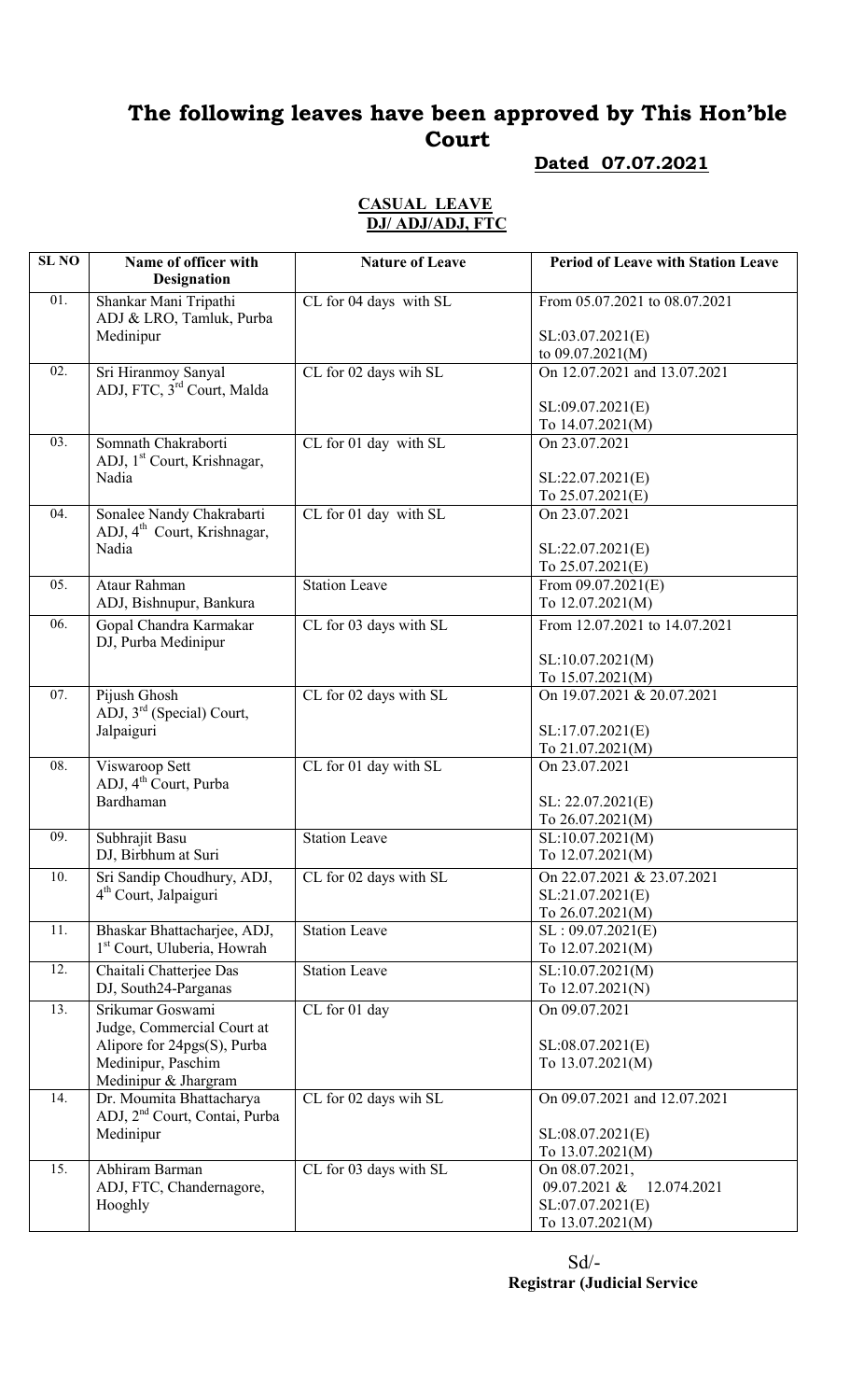# The following leaves have been approved by This Hon'ble Court

#### Dated 07.07.2021

#### CASUAL LEAVE DJ/ ADJ/ADJ, FTC

| <b>SL NO</b> | Name of officer with<br><b>Designation</b>                             | <b>Nature of Leave</b> | <b>Period of Leave with Station Leave</b>       |
|--------------|------------------------------------------------------------------------|------------------------|-------------------------------------------------|
| 01.          | Shankar Mani Tripathi<br>ADJ & LRO, Tamluk, Purba                      | CL for 04 days with SL | From 05.07.2021 to 08.07.2021                   |
|              | Medinipur                                                              |                        | SL:03.07.2021(E)<br>to $09.07.2021(M)$          |
| 02.          | Sri Hiranmoy Sanyal                                                    | CL for 02 days wih SL  | On 12.07.2021 and 13.07.2021                    |
|              | ADJ, FTC, 3rd Court, Malda                                             |                        |                                                 |
|              |                                                                        |                        | SL:09.07.2021(E)                                |
|              |                                                                        |                        | To 14.07.2021(M)                                |
| 03.          | Somnath Chakraborti<br>ADJ, 1 <sup>st</sup> Court, Krishnagar,         | CL for 01 day with SL  | On 23.07.2021                                   |
|              | Nadia                                                                  |                        | SL:22.07.2021(E)                                |
|              |                                                                        |                        | To 25.07.2021(E)                                |
| 04.          | Sonalee Nandy Chakrabarti<br>ADJ, 4 <sup>th</sup> Court, Krishnagar,   | CL for 01 day with SL  | On 23.07.2021                                   |
|              | Nadia                                                                  |                        | SL:22.07.2021(E)                                |
|              |                                                                        |                        | To $25.07.2021(E)$                              |
| 05.          | Ataur Rahman<br>ADJ, Bishnupur, Bankura                                | <b>Station Leave</b>   | From $09.07.2021(E)$<br>To 12.07.2021(M)        |
| 06.          | Gopal Chandra Karmakar                                                 | CL for 03 days with SL | From 12.07.2021 to 14.07.2021                   |
|              | DJ, Purba Medinipur                                                    |                        |                                                 |
|              |                                                                        |                        | SL:10.07.2021(M)                                |
|              |                                                                        |                        | To 15.07.2021(M)                                |
| 07.          | Pijush Ghosh<br>ADJ, 3 <sup>rd</sup> (Special) Court,                  | CL for 02 days with SL | On 19.07.2021 & 20.07.2021                      |
|              | Jalpaiguri                                                             |                        | SL:17.07.2021(E)                                |
|              |                                                                        |                        | To 21.07.2021(M)                                |
| 08.          | Viswaroop Sett<br>ADJ, 4 <sup>th</sup> Court, Purba                    | CL for 01 day with SL  | On 23.07.2021                                   |
|              | Bardhaman                                                              |                        | SL: 22.07.2021(E)                               |
| 09.          | Subhrajit Basu                                                         | <b>Station Leave</b>   | To 26.07.2021(M)<br>SL:10.07.2021(M)            |
|              | DJ, Birbhum at Suri                                                    |                        | To 12.07.2021(M)                                |
| 10.          | Sri Sandip Choudhury, ADJ,                                             | CL for 02 days with SL | On 22.07.2021 & 23.07.2021                      |
|              | 4 <sup>th</sup> Court, Jalpaiguri                                      |                        | SL:21.07.2021(E)                                |
|              |                                                                        |                        | To 26.07.2021(M)                                |
| 11.          | Bhaskar Bhattacharjee, ADJ,<br>1 <sup>st</sup> Court, Uluberia, Howrah | <b>Station Leave</b>   | SL: 09.07.2021(E)<br>To 12.07.2021(M)           |
| 12.          | Chaitali Chatterjee Das                                                | <b>Station Leave</b>   | SL:10.07.2021(M)                                |
|              | DJ, South24-Parganas                                                   |                        | To 12.07.2021(N)                                |
| 13.          | Srikumar Goswami                                                       | CL for 01 day          | On 09.07.2021                                   |
|              | Judge, Commercial Court at                                             |                        |                                                 |
|              | Alipore for 24pgs(S), Purba                                            |                        | SL:08.07.2021(E)                                |
|              | Medinipur, Paschim<br>Medinipur & Jhargram                             |                        | To 13.07.2021(M)                                |
| 14.          | Dr. Moumita Bhattacharya<br>ADJ, 2 <sup>nd</sup> Court, Contai, Purba  | CL for 02 days wih SL  | On 09.07.2021 and 12.07.2021                    |
|              | Medinipur                                                              |                        | SL:08.07.2021(E)                                |
|              |                                                                        |                        | To 13.07.2021(M)                                |
| 15.          | Abhiram Barman                                                         | CL for 03 days with SL | On 08.07.2021,                                  |
|              | ADJ, FTC, Chandernagore,                                               |                        | 09.07.2021 &<br>12.074.2021<br>SL:07.07.2021(E) |
|              | Hooghly                                                                |                        | To 13.07.2021(M)                                |
|              |                                                                        |                        |                                                 |

 Sd/- Registrar (Judicial Service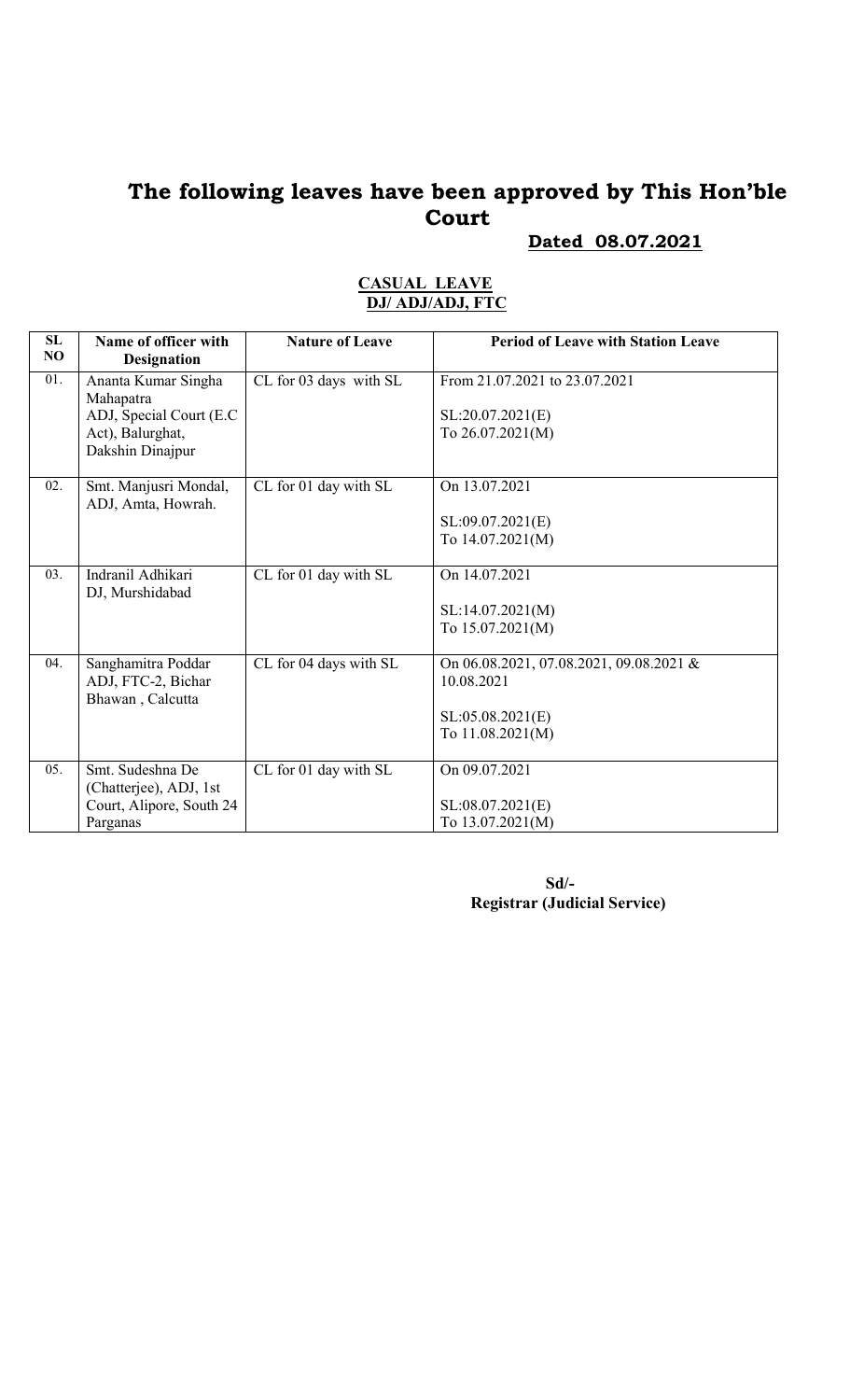## The following leaves have been approved by This Hon'ble Court

Dated 08.07.2021

| SL<br>NO | Name of officer with<br><b>Designation</b>                                                           | <b>Nature of Leave</b> | <b>Period of Leave with Station Leave</b>                                                     |
|----------|------------------------------------------------------------------------------------------------------|------------------------|-----------------------------------------------------------------------------------------------|
| 01.      | Ananta Kumar Singha<br>Mahapatra<br>ADJ, Special Court (E.C.<br>Act), Balurghat,<br>Dakshin Dinajpur | CL for 03 days with SL | From 21.07.2021 to 23.07.2021<br>SL:20.07.2021(E)<br>To $26.07.2021(M)$                       |
| 02.      | Smt. Manjusri Mondal,<br>ADJ, Amta, Howrah.                                                          | CL for 01 day with SL  | On 13.07.2021<br>SL:09.07.2021(E)<br>To 14.07.2021(M)                                         |
| 03.      | Indranil Adhikari<br>DJ, Murshidabad                                                                 | CL for 01 day with SL  | On 14.07.2021<br>SL:14.07.2021(M)<br>To 15.07.2021(M)                                         |
| 04.      | Sanghamitra Poddar<br>ADJ, FTC-2, Bichar<br>Bhawan, Calcutta                                         | CL for 04 days with SL | On 06.08.2021, 07.08.2021, 09.08.2021 &<br>10.08.2021<br>SL:05.08.2021(E)<br>To 11.08.2021(M) |
| 05.      | Smt. Sudeshna De<br>(Chatterjee), ADJ, 1st<br>Court, Alipore, South 24<br>Parganas                   | CL for 01 day with SL  | On 09.07.2021<br>SL:08.07.2021(E)<br>To 13.07.2021(M)                                         |

#### CASUAL LEAVE DJ/ ADJ/ADJ, FTC

 Sd/- Registrar (Judicial Service)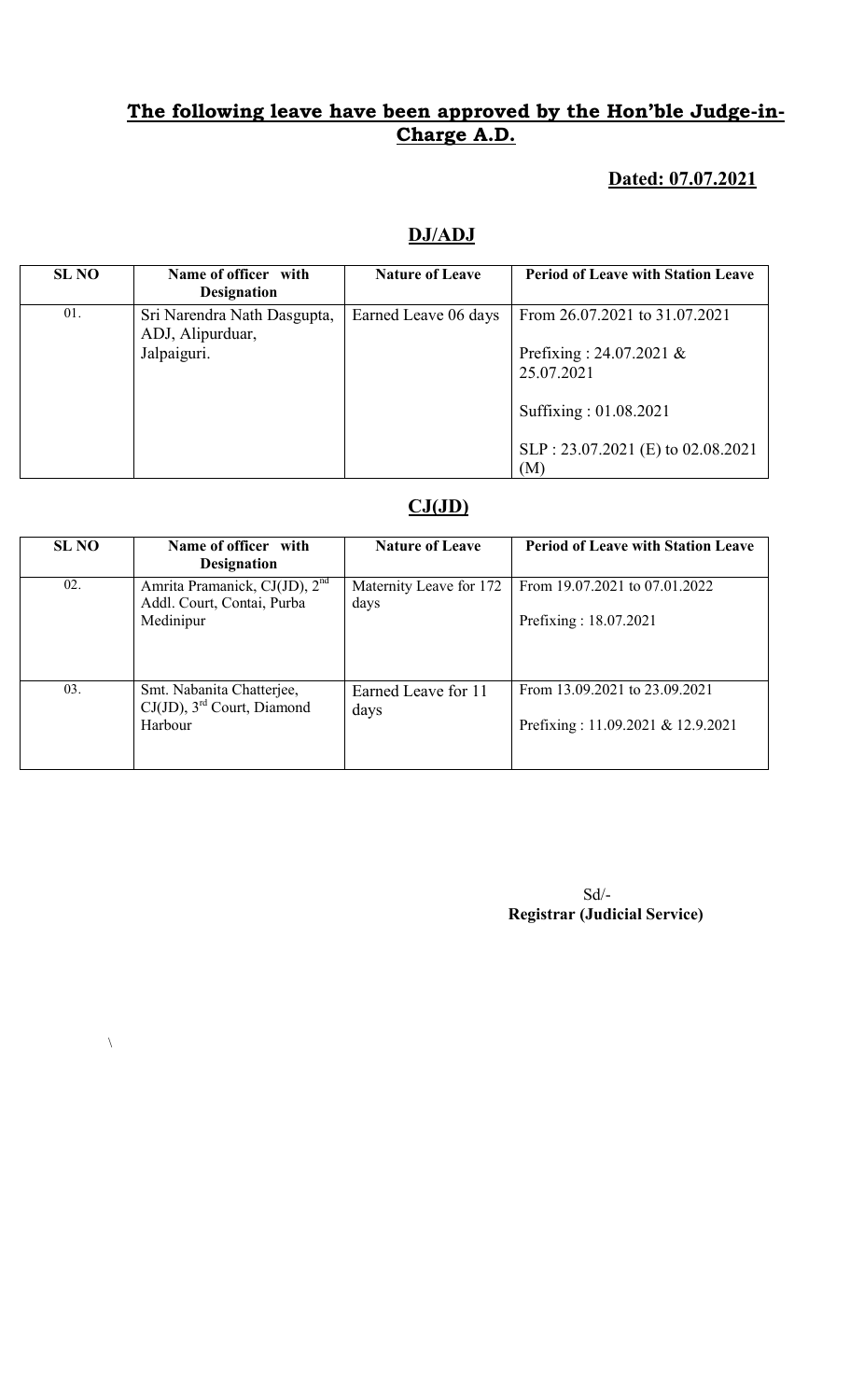### Dated: 07.07.2021

#### DJ/ADJ

| <b>SL NO</b> | Name of officer with<br><b>Designation</b>      | <b>Nature of Leave</b> | <b>Period of Leave with Station Leave</b> |
|--------------|-------------------------------------------------|------------------------|-------------------------------------------|
| 01.          | Sri Narendra Nath Dasgupta,<br>ADJ, Alipurduar, | Earned Leave 06 days   | From 26.07.2021 to 31.07.2021             |
|              | Jalpaiguri.                                     |                        | Prefixing: $24.07.2021 \&$<br>25.07.2021  |
|              |                                                 |                        | Suffixing: 01.08.2021                     |
|              |                                                 |                        | SLP: 23.07.2021 (E) to 02.08.2021<br>(M)  |

#### $CJ(JD)$

| <b>SL NO</b> | Name of officer with<br><b>Designation</b>                                           | <b>Nature of Leave</b>          | <b>Period of Leave with Station Leave</b>                          |
|--------------|--------------------------------------------------------------------------------------|---------------------------------|--------------------------------------------------------------------|
| 02.          | Amrita Pramanick, CJ(JD), 2 <sup>nd</sup><br>Addl. Court, Contai, Purba<br>Medinipur | Maternity Leave for 172<br>days | From 19.07.2021 to 07.01.2022<br>Prefixing: 18.07.2021             |
| 03.          | Smt. Nabanita Chatterjee,<br>$CJ(JD)$ , 3 <sup>rd</sup> Court, Diamond<br>Harbour    | Earned Leave for 11<br>days     | From 13.09.2021 to 23.09.2021<br>Prefixing: 11.09.2021 & 12.9.2021 |

 $\lambda$ 

 Sd/- Registrar (Judicial Service)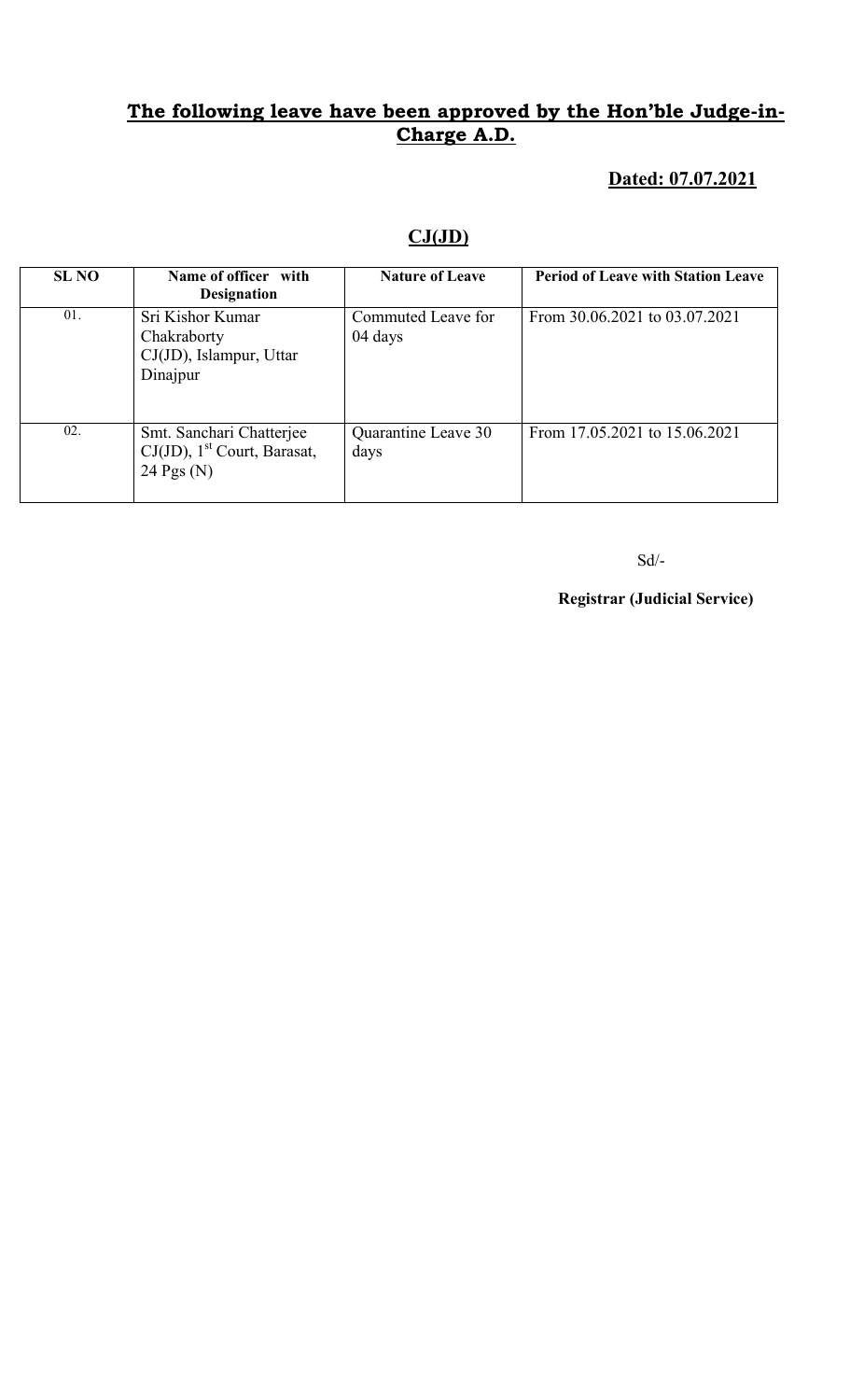### Dated: 07.07.2021

### $CJ(JD)$

| <b>SL NO</b> | Name of officer with<br><b>Designation</b>                                             | <b>Nature of Leave</b>        | <b>Period of Leave with Station Leave</b> |
|--------------|----------------------------------------------------------------------------------------|-------------------------------|-------------------------------------------|
| 01.          | Sri Kishor Kumar<br>Chakraborty<br>$CJ(JD)$ , Islampur, Uttar<br>Dinajpur              | Commuted Leave for<br>04 days | From 30.06.2021 to 03.07.2021             |
| 02.          | Smt. Sanchari Chatterjee<br>$CJ(JD)$ , 1 <sup>st</sup> Court, Barasat,<br>24 Pgs $(N)$ | Quarantine Leave 30<br>days   | From 17.05.2021 to 15.06.2021             |

Sd/-

Registrar (Judicial Service)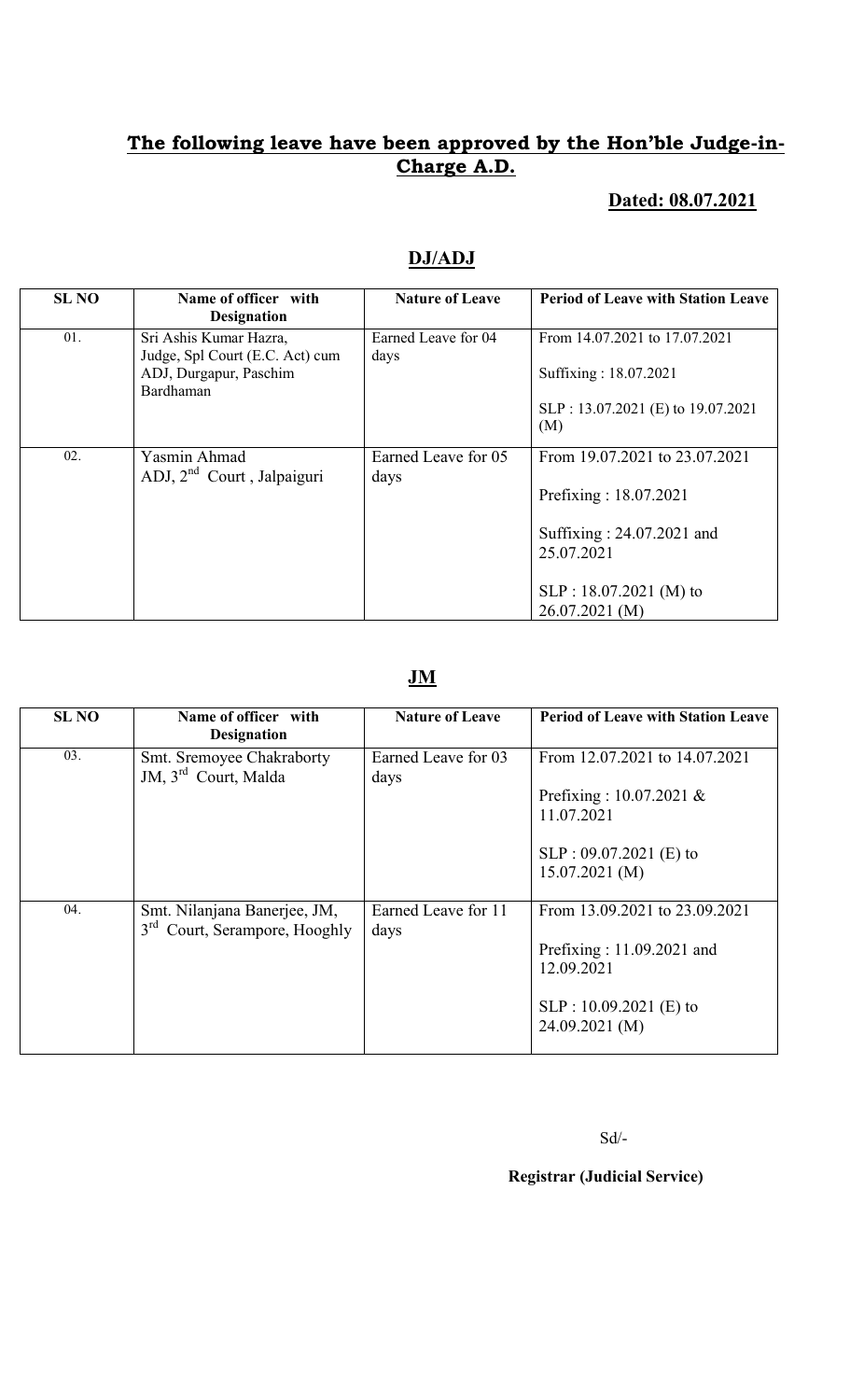### Dated: 08.07.2021

### DJ/ADJ

| <b>SL NO</b> | Name of officer with<br><b>Designation</b>                                                       | <b>Nature of Leave</b>      | <b>Period of Leave with Station Leave</b>                                                                                                       |
|--------------|--------------------------------------------------------------------------------------------------|-----------------------------|-------------------------------------------------------------------------------------------------------------------------------------------------|
| 01.          | Sri Ashis Kumar Hazra,<br>Judge, Spl Court (E.C. Act) cum<br>ADJ, Durgapur, Paschim<br>Bardhaman | Earned Leave for 04<br>days | From 14.07.2021 to 17.07.2021<br>Suffixing: 18.07.2021<br>SLP: 13.07.2021 (E) to 19.07.2021<br>(M)                                              |
| 02.          | Yasmin Ahmad<br>ADJ, 2 <sup>nd</sup> Court, Jalpaiguri                                           | Earned Leave for 05<br>days | From 19.07.2021 to 23.07.2021<br>Prefixing: 18.07.2021<br>Suffixing: 24.07.2021 and<br>25.07.2021<br>$SLP: 18.07.2021$ (M) to<br>26.07.2021 (M) |

#### JM

| <b>SL NO</b> | Name of officer with<br><b>Designation</b>                                | <b>Nature of Leave</b>      | <b>Period of Leave with Station Leave</b>                                                                                |
|--------------|---------------------------------------------------------------------------|-----------------------------|--------------------------------------------------------------------------------------------------------------------------|
| 03.          | Smt. Sremoyee Chakraborty<br>JM, 3 <sup>rd</sup> Court, Malda             | Earned Leave for 03<br>days | From 12.07.2021 to 14.07.2021<br>Prefixing : $10.07.2021 \&$<br>11.07.2021<br>$SLP: 09.07.2021$ (E) to<br>15.07.2021(M)  |
| 04.          | Smt. Nilanjana Banerjee, JM,<br>3 <sup>rd</sup> Court, Serampore, Hooghly | Earned Leave for 11<br>days | From 13.09.2021 to 23.09.2021<br>Prefixing: $11.09.2021$ and<br>12.09.2021<br>$SLP: 10.09.2021$ (E) to<br>24.09.2021 (M) |

Sd/-

#### Registrar (Judicial Service)